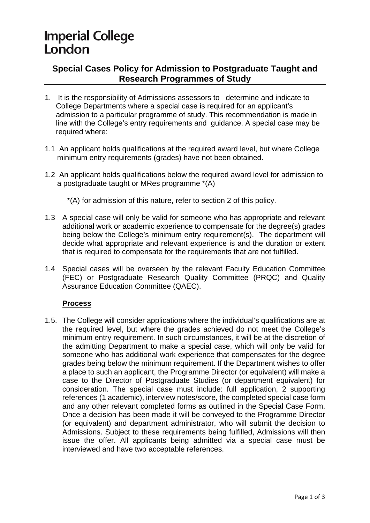# **Imperial College** London

## **Special Cases Policy for Admission to Postgraduate Taught and Research Programmes of Study**

- 1. It is the responsibility of Admissions assessors to determine and indicate to College Departments where a special case is required for an applicant's admission to a particular programme of study. This recommendation is made in line with the College's entry requirements and guidance. A special case may be required where:
- 1.1 An applicant holds qualifications at the required award level, but where College minimum entry requirements (grades) have not been obtained.
- 1.2 An applicant holds qualifications below the required award level for admission to a postgraduate taught or MRes programme \*(A)
	- \*(A) for admission of this nature, refer to section 2 of this policy.
- 1.3 A special case will only be valid for someone who has appropriate and relevant additional work or academic experience to compensate for the degree(s) grades being below the College's minimum entry requirement(s). The department will decide what appropriate and relevant experience is and the duration or extent that is required to compensate for the requirements that are not fulfilled.
- 1.4 Special cases will be overseen by the relevant Faculty Education Committee (FEC) or Postgraduate Research Quality Committee (PRQC) and Quality Assurance Education Committee (QAEC).

#### **Process**

1.5. The College will consider applications where the individual's qualifications are at the required level, but where the grades achieved do not meet the College's minimum entry requirement. In such circumstances, it will be at the discretion of the admitting Department to make a special case, which will only be valid for someone who has additional work experience that compensates for the degree grades being below the minimum requirement. If the Department wishes to offer a place to such an applicant, the Programme Director (or equivalent) will make a case to the Director of Postgraduate Studies (or department equivalent) for consideration. The special case must include: full application, 2 supporting references (1 academic), interview notes/score, the completed special case form and any other relevant completed forms as outlined in the Special Case Form. Once a decision has been made it will be conveyed to the Programme Director (or equivalent) and department administrator, who will submit the decision to Admissions. Subject to these requirements being fulfilled, Admissions will then issue the offer. All applicants being admitted via a special case must be interviewed and have two acceptable references.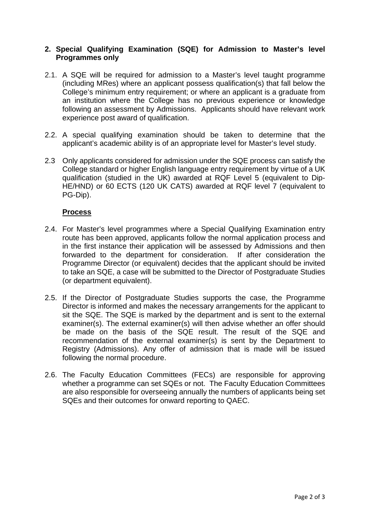#### **2. Special Qualifying Examination (SQE) for Admission to Master's level Programmes only**

- 2.1. A SQE will be required for admission to a Master's level taught programme (including MRes) where an applicant possess qualification(s) that fall below the College's minimum entry requirement; or where an applicant is a graduate from an institution where the College has no previous experience or knowledge following an assessment by Admissions. Applicants should have relevant work experience post award of qualification.
- 2.2. A special qualifying examination should be taken to determine that the applicant's academic ability is of an appropriate level for Master's level study.
- 2.3 Only applicants considered for admission under the SQE process can satisfy the College standard or higher English language entry requirement by virtue of a UK qualification (studied in the UK) awarded at RQF Level 5 (equivalent to Dip-HE/HND) or 60 ECTS (120 UK CATS) awarded at RQF level 7 (equivalent to PG-Dip).

#### **Process**

- 2.4. For Master's level programmes where a Special Qualifying Examination entry route has been approved, applicants follow the normal application process and in the first instance their application will be assessed by Admissions and then forwarded to the department for consideration. If after consideration the Programme Director (or equivalent) decides that the applicant should be invited to take an SQE, a case will be submitted to the Director of Postgraduate Studies (or department equivalent).
- 2.5. If the Director of Postgraduate Studies supports the case, the Programme Director is informed and makes the necessary arrangements for the applicant to sit the SQE. The SQE is marked by the department and is sent to the external examiner(s). The external examiner(s) will then advise whether an offer should be made on the basis of the SQE result. The result of the SQE and recommendation of the external examiner(s) is sent by the Department to Registry (Admissions). Any offer of admission that is made will be issued following the normal procedure.
- 2.6. The Faculty Education Committees (FECs) are responsible for approving whether a programme can set SQEs or not. The Faculty Education Committees are also responsible for overseeing annually the numbers of applicants being set SQEs and their outcomes for onward reporting to QAEC.